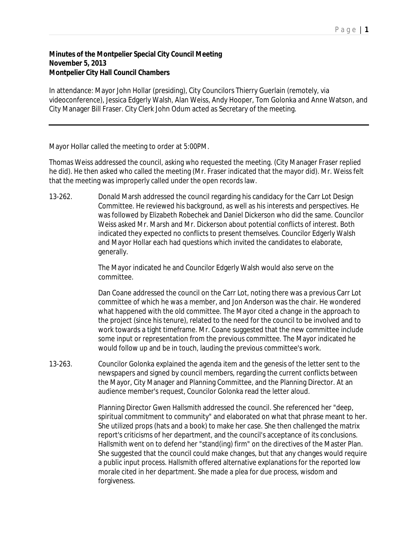## **Minutes of the Montpelier Special City Council Meeting November 5, 2013 Montpelier City Hall Council Chambers**

In attendance: Mayor John Hollar (presiding), City Councilors Thierry Guerlain (remotely, via videoconference), Jessica Edgerly Walsh, Alan Weiss, Andy Hooper, Tom Golonka and Anne Watson, and City Manager Bill Fraser. City Clerk John Odum acted as Secretary of the meeting.

Mayor Hollar called the meeting to order at 5:00PM.

Thomas Weiss addressed the council, asking who requested the meeting. (City Manager Fraser replied he did). He then asked who called the meeting (Mr. Fraser indicated that the mayor did). Mr. Weiss felt that the meeting was improperly called under the open records law.

13-262. Donald Marsh addressed the council regarding his candidacy for the Carr Lot Design Committee. He reviewed his background, as well as his interests and perspectives. He was followed by Elizabeth Robechek and Daniel Dickerson who did the same. Councilor Weiss asked Mr. Marsh and Mr. Dickerson about potential conflicts of interest. Both indicated they expected no conflicts to present themselves. Councilor Edgerly Walsh and Mayor Hollar each had questions which invited the candidates to elaborate, generally.

> The Mayor indicated he and Councilor Edgerly Walsh would also serve on the committee.

Dan Coane addressed the council on the Carr Lot, noting there was a previous Carr Lot committee of which he was a member, and Jon Anderson was the chair. He wondered what happened with the old committee. The Mayor cited a change in the approach to the project (since his tenure), related to the need for the council to be involved and to work towards a tight timeframe. Mr. Coane suggested that the new committee include some input or representation from the previous committee. The Mayor indicated he would follow up and be in touch, lauding the previous committee's work.

13-263. Councilor Golonka explained the agenda item and the genesis of the letter sent to the newspapers and signed by council members, regarding the current conflicts between the Mayor, City Manager and Planning Committee, and the Planning Director. At an audience member's request, Councilor Golonka read the letter aloud.

> Planning Director Gwen Hallsmith addressed the council. She referenced her "deep, spiritual commitment to community" and elaborated on what that phrase meant to her. She utilized props (hats and a book) to make her case. She then challenged the matrix report's criticisms of her department, and the council's acceptance of its conclusions. Hallsmith went on to defend her "stand(ing) firm" on the directives of the Master Plan. She suggested that the council could make changes, but that any changes would require a public input process. Hallsmith offered alternative explanations for the reported low morale cited in her department. She made a plea for due process, wisdom and forgiveness.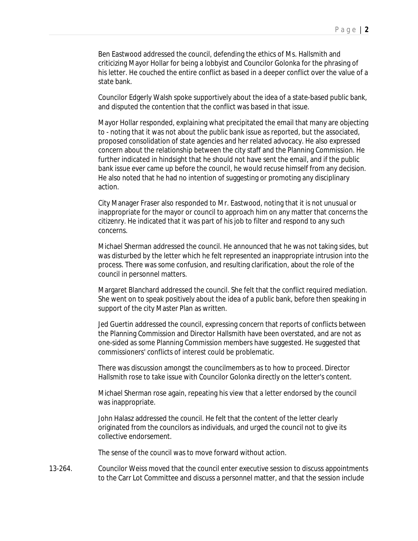Ben Eastwood addressed the council, defending the ethics of Ms. Hallsmith and criticizing Mayor Hollar for being a lobbyist and Councilor Golonka for the phrasing of his letter. He couched the entire conflict as based in a deeper conflict over the value of a state bank.

Councilor Edgerly Walsh spoke supportively about the idea of a state-based public bank, and disputed the contention that the conflict was based in that issue.

Mayor Hollar responded, explaining what precipitated the email that many are objecting to - noting that it was not about the public bank issue as reported, but the associated, proposed consolidation of state agencies and her related advocacy. He also expressed concern about the relationship between the city staff and the Planning Commission. He further indicated in hindsight that he should not have sent the email, and if the public bank issue ever came up before the council, he would recuse himself from any decision. He also noted that he had no intention of suggesting or promoting any disciplinary action.

City Manager Fraser also responded to Mr. Eastwood, noting that it is not unusual or inappropriate for the mayor or council to approach him on any matter that concerns the citizenry. He indicated that it was part of his job to filter and respond to any such concerns.

Michael Sherman addressed the council. He announced that he was not taking sides, but was disturbed by the letter which he felt represented an inappropriate intrusion into the process. There was some confusion, and resulting clarification, about the role of the council in personnel matters.

Margaret Blanchard addressed the council. She felt that the conflict required mediation. She went on to speak positively about the idea of a public bank, before then speaking in support of the city Master Plan as written.

Jed Guertin addressed the council, expressing concern that reports of conflicts between the Planning Commission and Director Hallsmith have been overstated, and are not as one-sided as some Planning Commission members have suggested. He suggested that commissioners' conflicts of interest could be problematic.

There was discussion amongst the councilmembers as to how to proceed. Director Hallsmith rose to take issue with Councilor Golonka directly on the letter's content.

Michael Sherman rose again, repeating his view that a letter endorsed by the council was inappropriate.

John Halasz addressed the council. He felt that the content of the letter clearly originated from the councilors as individuals, and urged the council not to give its collective endorsement.

The sense of the council was to move forward without action.

13-264. Councilor Weiss moved that the council enter executive session to discuss appointments to the Carr Lot Committee and discuss a personnel matter, and that the session include